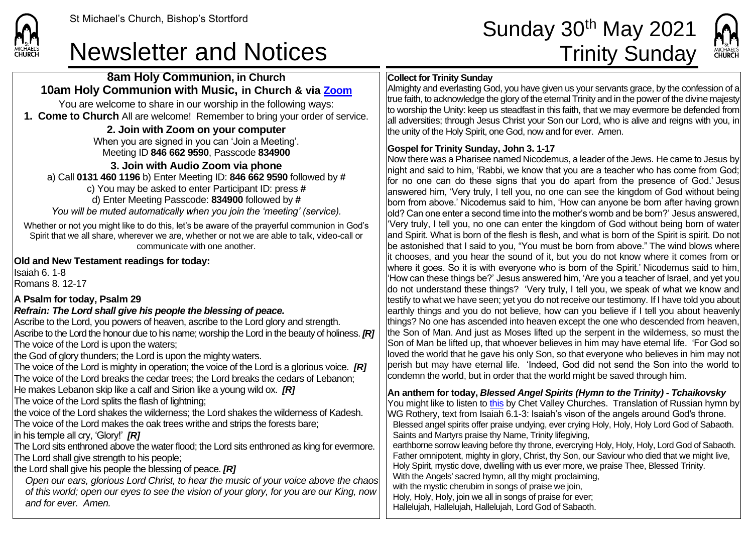# Newsletter and Notices Trinity Sunday

**8am Holy Communion, in Church 10am Holy Communion with Music, in Church & via [Zoom](https://zoom.us/)** You are welcome to share in our worship in the following ways: **1. Come to Church** All are welcome! Remember to bring your order of service. **2. Join with Zoom on your computer** When you are signed in you can 'Join a Meeting'. Meeting ID **846 662 9590**, Passcode **834900 3. Join with Audio Zoom via phone**  a) Call **0131 460 1196** b) Enter Meeting ID: **846 662 9590** followed by **#** c) You may be asked to enter Participant ID: press **#** d) Enter Meeting Passcode: **834900** followed by **#** *You will be muted automatically when you join the 'meeting' (service).* Whether or not you might like to do this, let's be aware of the prayerful communion in God's Spirit that we all share, wherever we are, whether or not we are able to talk, video-call or communicate with one another. **Old and New Testament readings for today:**

Isaiah 6. 1-8 Romans 8. 12-17

**CHURCH** 

#### **A Psalm for today, Psalm 29**

#### *Refrain: The Lord shall give his people the blessing of peace.*

Ascribe to the Lord, you powers of heaven, ascribe to the Lord glory and strength. Ascribe to the Lord the honour due to his name; worship the Lord in the beauty of holiness. *[R]* The voice of the Lord is upon the waters;

the God of glory thunders; the Lord is upon the mighty waters.

The voice of the Lord is mighty in operation; the voice of the Lord is a glorious voice. *[R]* The voice of the Lord breaks the cedar trees; the Lord breaks the cedars of Lebanon;

He makes Lebanon skip like a calf and Sirion like a young wild ox. *[R]*

The voice of the Lord splits the flash of lightning;

the voice of the Lord shakes the wilderness; the Lord shakes the wilderness of Kadesh. The voice of the Lord makes the oak trees writhe and strips the forests bare;

in his temple all cry, 'Glory!' *[R]*

The Lord sits enthroned above the water flood; the Lord sits enthroned as king for evermore. The Lord shall give strength to his people;

the Lord shall give his people the blessing of peace. *[R]*

*Open our ears, glorious Lord Christ, to hear the music of your voice above the chaos of this world; open our eyes to see the vision of your glory, for you are our King, now and for ever. Amen.*

## **Collect for Trinity Sunday**

Almighty and everlasting God, you have given us your servants grace, by the confession of a true faith, to acknowledge the glory of the eternal Trinity and in the power of the divine majesty to worship the Unity: keep us steadfast in this faith, that we may evermore be defended from all adversities; through Jesus Christ your Son our Lord, who is alive and reigns with you, in the unity of the Holy Spirit, one God, now and for ever. Amen.

MICHAELS

### **Gospel for Trinity Sunday, John 3. 1-17**

Now there was a Pharisee named Nicodemus, a leader of the Jews. He came to Jesus by night and said to him, 'Rabbi, we know that you are a teacher who has come from God; for no one can do these signs that you do apart from the presence of God.' Jesus answered him, 'Very truly, I tell you, no one can see the kingdom of God without being born from above.' Nicodemus said to him, 'How can anyone be born after having grown old? Can one enter a second time into the mother's womb and be born?' Jesus answered, 'Very truly, I tell you, no one can enter the kingdom of God without being born of water and Spirit. What is born of the flesh is flesh, and what is born of the Spirit is spirit. Do not be astonished that I said to you, "You must be born from above." The wind blows where it chooses, and you hear the sound of it, but you do not know where it comes from or where it goes. So it is with everyone who is born of the Spirit.' Nicodemus said to him, 'How can these things be?' Jesus answered him, 'Are you a teacher of Israel, and yet you do not understand these things? 'Very truly, I tell you, we speak of what we know and testify to what we have seen; yet you do not receive our testimony. If I have told you about earthly things and you do not believe, how can you believe if I tell you about heavenly things? No one has ascended into heaven except the one who descended from heaven, the Son of Man. And just as Moses lifted up the serpent in the wilderness, so must the Son of Man be lifted up, that whoever believes in him may have eternal life. 'For God so loved the world that he gave his only Son, so that everyone who believes in him may not perish but may have eternal life. 'Indeed, God did not send the Son into the world to condemn the world, but in order that the world might be saved through him.

### **An anthem for today,** *Blessed Angel Spirits (Hymn to the Trinity) - Tchaikovsky*

You might like to listen to [this](https://www.youtube.com/watch?v=-n42dr-NA1g) by Chet Valley Churches. Translation of Russian hymn by WG Rothery, text from Isaiah 6.1-3: Isaiah's vison of the angels around God's throne. Blessed angel spirits offer praise undying, ever crying Holy, Holy, Holy Lord God of Sabaoth. Saints and Martyrs praise thy Name, Trinity lifegiving,

earthborne sorrow leaving before thy throne, evercrying Holy, Holy, Holy, Lord God of Sabaoth. Father omnipotent, mighty in glory, Christ, thy Son, our Saviour who died that we might live, Holy Spirit, mystic dove, dwelling with us ever more, we praise Thee, Blessed Trinity. With the Angels' sacred hymn, all thy might proclaiming, with the mystic cherubim in songs of praise we join,

Holy, Holy, Holy, join we all in songs of praise for ever; Hallelujah, Hallelujah, Hallelujah, Lord God of Sabaoth.